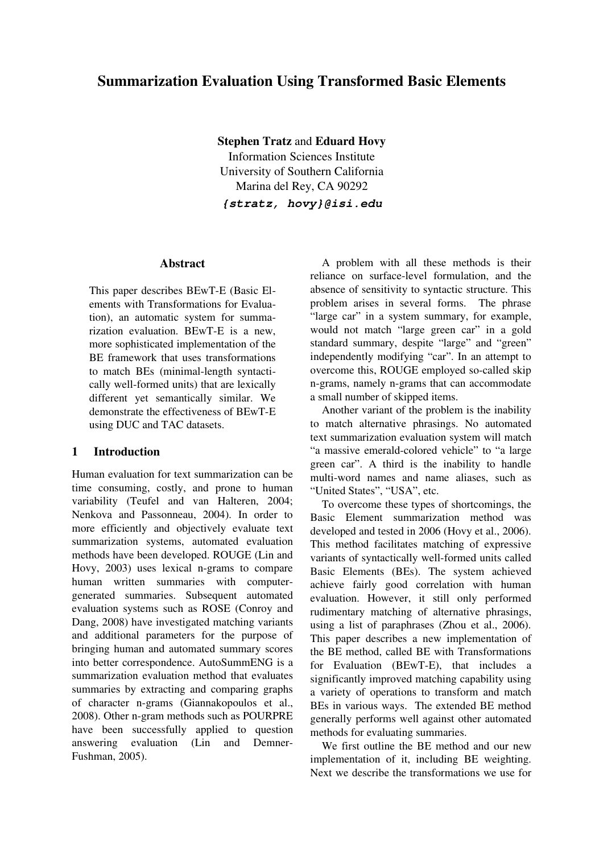# Summarization Evaluation Using Transformed Basic Elements

Stephen Tratz and Eduard Hovy

Information Sciences Institute University of Southern California Marina del Rey, CA 90292

**{stratz, hovy}@isi.edu**

### Abstract

This paper describes BEwT-E (Basic Elements with Transformations for Evaluation), an automatic system for summarization evaluation. BEwT-E is a new, more sophisticated implementation of the BE framework that uses transformations to match BEs (minimal-length syntactically well-formed units) that are lexically different yet semantically similar. We demonstrate the effectiveness of BEwT-E using DUC and TAC datasets.

### 1 Introduction

Human evaluation for text summarization can be time consuming, costly, and prone to human variability (Teufel and van Halteren, 2004; Nenkova and Passonneau, 2004). In order to more efficiently and objectively evaluate text summarization systems, automated evaluation methods have been developed. ROUGE (Lin and Hovy, 2003) uses lexical n-grams to compare human written summaries with computergenerated summaries. Subsequent automated evaluation systems such as ROSE (Conroy and Dang, 2008) have investigated matching variants and additional parameters for the purpose of bringing human and automated summary scores into better correspondence. AutoSummENG is a summarization evaluation method that evaluates summaries by extracting and comparing graphs of character n-grams (Giannakopoulos et al., 2008). Other n-gram methods such as POURPRE have been successfully applied to question answering evaluation (Lin and Demner-Fushman, 2005).

A problem with all these methods is their reliance on surface-level formulation, and the absence of sensitivity to syntactic structure. This problem arises in several forms. The phrase "large car" in a system summary, for example, would not match "large green car" in a gold standard summary, despite "large" and "green" independently modifying "car". In an attempt to overcome this, ROUGE employed so-called skip n-grams, namely n-grams that can accommodate a small number of skipped items.

Another variant of the problem is the inability to match alternative phrasings. No automated text summarization evaluation system will match "a massive emerald-colored vehicle" to "a large" green car". A third is the inability to handle multi-word names and name aliases, such as "United States", "USA", etc.

To overcome these types of shortcomings, the Basic Element summarization method was developed and tested in 2006 (Hovy et al., 2006). This method facilitates matching of expressive variants of syntactically well-formed units called Basic Elements (BEs). The system achieved achieve fairly good correlation with human evaluation. However, it still only performed rudimentary matching of alternative phrasings, using a list of paraphrases (Zhou et al., 2006). This paper describes a new implementation of the BE method, called BE with Transformations for Evaluation  $(BEwT-E)$ , that includes a significantly improved matching capability using a variety of operations to transform and match BEs in various ways. The extended BE method generally performs well against other automated methods for evaluating summaries.

We first outline the BE method and our new implementation of it, including BE weighting. Next we describe the transformations we use for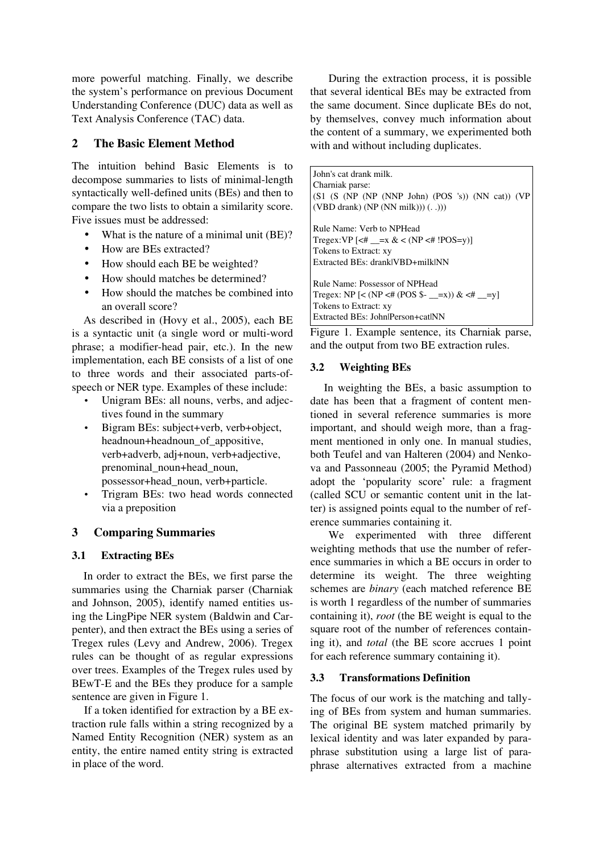more powerful matching. Finally, we describe the system's performance on previous Document Understanding Conference (DUC) data as well as Text Analysis Conference (TAC) data.

## 2 The Basic Element Method

The intuition behind Basic Elements is to decompose summaries to lists of minimal-length syntactically well-defined units (BEs) and then to compare the two lists to obtain a similarity score. Five issues must be addressed:

- What is the nature of a minimal unit (BE)?
- How are BEs extracted?
- How should each BE be weighted?
- How should matches be determined?
- How should the matches be combined into an overall score?

As described in (Hovy et al., 2005), each BE is a syntactic unit (a single word or multi-word phrase; a modifier-head pair, etc.). In the new implementation, each BE consists of a list of one to three words and their associated parts-ofspeech or NER type. Examples of these include:

- Unigram BEs: all nouns, verbs, and adjectives found in the summary
- Bigram BEs: subject+verb, verb+object, headnoun+headnoun\_of\_appositive, verb+adverb, adj+noun, verb+adjective, prenominal\_noun+head\_noun, possessor+head\_noun, verb+particle.
- Trigram BEs: two head words connected via a preposition

## 3 Comparing Summaries

## 3.1 Extracting BEs

In order to extract the BEs, we first parse the summaries using the Charniak parser (Charniak and Johnson, 2005), identify named entities using the LingPipe NER system (Baldwin and Carpenter), and then extract the BEs using a series of Tregex rules (Levy and Andrew, 2006). Tregex rules can be thought of as regular expressions over trees. Examples of the Tregex rules used by BEwT-E and the BEs they produce for a sample sentence are given in Figure 1.

If a token identified for extraction by a BE extraction rule falls within a string recognized by a Named Entity Recognition (NER) system as an entity, the entire named entity string is extracted in place of the word.

During the extraction process, it is possible that several identical BEs may be extracted from the same document. Since duplicate BEs do not, by themselves, convey much information about the content of a summary, we experimented both with and without including duplicates.

John's cat drank milk. Charniak parse:  $(S1 (S (NP (NP (NNP John) (POS 's)) (NN cat)) (VP$  $(VBD$  drank)  $(NP (NN$  milk $))) (..))$ Rule Name: Verb to NPHead Tregex:VP  $\left[ \langle 2 \# \_x = x \& 1$  (NP  $\langle 2 \# \_y$  !POS=y)] Tokens to Extract: xy Extracted BEs: drank|VBD+milk|NN Rule Name: Possessor of NPHead Tregex:  $NP$  [<  $(NP \leq \# (POS \$  - \_=x)) &  $\leq \#$  \_=y] Tokens to Extract: xy Extracted BEs: John|Person+cat|NN

Figure 1. Example sentence, its Charniak parse, and the output from two BE extraction rules.

## 3.2 Weighting BEs

In weighting the BEs, a basic assumption to date has been that a fragment of content mentioned in several reference summaries is more important, and should weigh more, than a fragment mentioned in only one. In manual studies, both Teufel and van Halteren (2004) and Nenkova and Passonneau (2005; the Pyramid Method) adopt the 'popularity score' rule: a fragment (called SCU or semantic content unit in the latter) is assigned points equal to the number of reference summaries containing it.

We experimented with three different weighting methods that use the number of reference summaries in which a BE occurs in order to determine its weight. The three weighting schemes are *binary* (each matched reference BE is worth 1 regardless of the number of summaries containing it), *root* (the BE weight is equal to the square root of the number of references containing it), and *total* (the BE score accrues 1 point for each reference summary containing it).

## 3.3 Transformations Definition

The focus of our work is the matching and tallying of BEs from system and human summaries. The original BE system matched primarily by lexical identity and was later expanded by paraphrase substitution using a large list of paraphrase alternatives extracted from a machine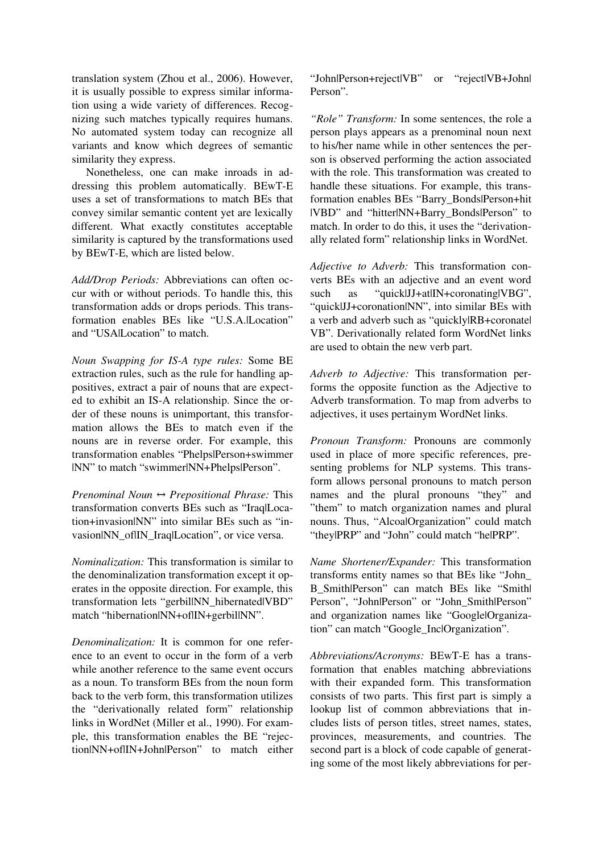translation system (Zhou et al., 2006). However, it is usually possible to express similar information using a wide variety of differences. Recognizing such matches typically requires humans. No automated system today can recognize all variants and know which degrees of semantic similarity they express.

Nonetheless, one can make inroads in addressing this problem automatically. BEwT-E uses a set of transformations to match BEs that convey similar semantic content yet are lexically different. What exactly constitutes acceptable similarity is captured by the transformations used by BEwT-E, which are listed below.

*Add/Drop Periods:* Abbreviations can often occur with or without periods. To handle this, this transformation adds or drops periods. This transformation enables BEs like "U.S.A.|Location" and "USA|Location" to match.

*Noun Swapping for ISA type rules:* Some BE extraction rules, such as the rule for handling appositives, extract a pair of nouns that are expected to exhibit an IS-A relationship. Since the order of these nouns is unimportant, this transformation allows the BEs to match even if the nouns are in reverse order. For example, this transformation enables "Phelps|Person+swimmer |NN" to match "swimmer|NN+Phelps|Person".

*Prenominal Noun*  $\leftrightarrow$  *Prepositional Phrase:* This transformation converts BEs such as "Iraq|Location+invasion|NN" into similar BEs such as "invasion|NN\_of|IN\_Iraq|Location", or vice versa.

*Nominalization:* This transformation is similar to the denominalization transformation except it operates in the opposite direction. For example, this transformation lets "gerbil|NN\_hibernated|VBD" match "hibernation|NN+of|IN+gerbil|NN".

*Denominalization:* It is common for one reference to an event to occur in the form of a verb while another reference to the same event occurs as a noun. To transform BEs from the noun form back to the verb form, this transformation utilizes the "derivationally related form" relationship links in WordNet (Miller et al., 1990). For example, this transformation enables the BE "rejection|NN+of|IN+John|Person" to match either "John|Person+reject|VB" or "reject|VB+John| Person".

*"Role" Transform:* In some sentences, the role a person plays appears as a prenominal noun next to his/her name while in other sentences the person is observed performing the action associated with the role. This transformation was created to handle these situations. For example, this transformation enables BEs "Barry\_Bonds|Person+hit |VBD" and "hitter|NN+Barry\_Bonds|Person" to match. In order to do this, it uses the "derivationally related form" relationship links in WordNet.

*Adjective to Adverb:* This transformation converts BEs with an adjective and an event word such as "quick|JJ+at|IN+coronating|VBG", "quick|JJ+coronation|NN", into similar BEs with a verb and adverb such as "quickly|RB+coronate| VB". Derivationally related form WordNet links are used to obtain the new verb part.

*Adverb to Adjective:* This transformation performs the opposite function as the Adjective to Adverb transformation. To map from adverbs to adjectives, it uses pertainym WordNet links.

*Pronoun Transform:* Pronouns are commonly used in place of more specific references, presenting problems for NLP systems. This transform allows personal pronouns to match person names and the plural pronouns "they" and "them" to match organization names and plural nouns. Thus, "Alcoa|Organization" could match "they|PRP" and "John" could match "he|PRP".

*Name Shortener/Expander:* This transformation transforms entity names so that BEs like "John\_ B Smith|Person" can match BEs like "Smith| Person", "John|Person" or "John\_Smith|Person" and organization names like "Google|Organization" can match "Google\_Inc|Organization".

*Abbreviations/Acronyms:* BEwT-E has a transformation that enables matching abbreviations with their expanded form. This transformation consists of two parts. This first part is simply a lookup list of common abbreviations that includes lists of person titles, street names, states, provinces, measurements, and countries. The second part is a block of code capable of generating some of the most likely abbreviations for per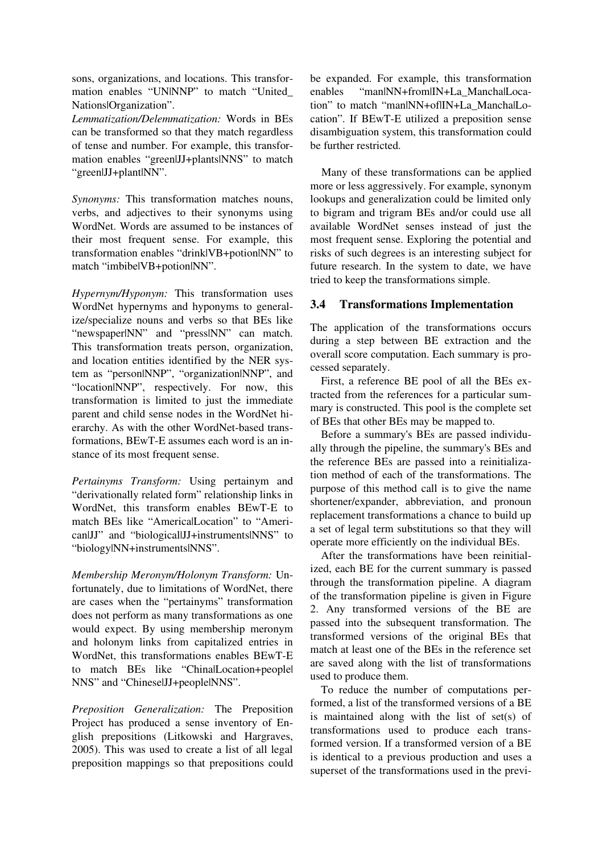sons, organizations, and locations. This transformation enables "UNINNP" to match "United\_ Nations|Organization".

*Lemmatization/Delemmatization:* Words in BEs can be transformed so that they match regardless of tense and number. For example, this transformation enables "green|JJ+plants|NNS" to match "green|JJ+plant|NN".

*Synonyms:* This transformation matches nouns, verbs, and adjectives to their synonyms using WordNet. Words are assumed to be instances of their most frequent sense. For example, this transformation enables "drink|VB+potion|NN" to match "imbibe|VB+potion|NN".

*Hypernym/Hyponym:* This transformation uses WordNet hypernyms and hyponyms to generalize/specialize nouns and verbs so that BEs like "newspaper|NN" and "press|NN" can match. This transformation treats person, organization, and location entities identified by the NER system as "person|NNP", "organization|NNP", and "location|NNP", respectively. For now, this transformation is limited to just the immediate parent and child sense nodes in the WordNet hierarchy. As with the other WordNet-based transformations, BEwT-E assumes each word is an instance of its most frequent sense.

Pertainyms Transform: Using pertainym and "derivationally related form" relationship links in WordNet, this transform enables BEwT-E to match BEs like "America|Location" to "American|JJ" and "biological|JJ+instruments|NNS" to "biology|NN+instruments|NNS".

*Membership Meronym/Holonym Transform:* Unfortunately, due to limitations of WordNet, there are cases when the "pertainyms" transformation does not perform as many transformations as one would expect. By using membership meronym and holonym links from capitalized entries in WordNet, this transformations enables BEwT-E to match BEs like "ChinalLocation+peoplel NNS" and "Chinese|JJ+people|NNS".

*Preposition Generalization:* The Preposition Project has produced a sense inventory of English prepositions (Litkowski and Hargraves, 2005). This was used to create a list of all legal preposition mappings so that prepositions could be expanded. For example, this transformation enables "man|NN+from|IN+La\_Mancha|Location" to match "man|NN+of|IN+La\_Mancha|Location". If BEwT-E utilized a preposition sense disambiguation system, this transformation could be further restricted.

Many of these transformations can be applied more or less aggressively. For example, synonym lookups and generalization could be limited only to bigram and trigram BEs and/or could use all available WordNet senses instead of just the most frequent sense. Exploring the potential and risks of such degrees is an interesting subject for future research. In the system to date, we have tried to keep the transformations simple.

## 3.4 Transformations Implementation

The application of the transformations occurs during a step between BE extraction and the overall score computation. Each summary is processed separately.

First, a reference BE pool of all the BEs extracted from the references for a particular summary is constructed. This pool is the complete set of BEs that other BEs may be mapped to.

Before a summary's BEs are passed individually through the pipeline, the summary's BEs and the reference BEs are passed into a reinitialization method of each of the transformations. The purpose of this method call is to give the name shortener/expander, abbreviation, and pronoun replacement transformations a chance to build up a set of legal term substitutions so that they will operate more efficiently on the individual BEs.

After the transformations have been reinitialized, each BE for the current summary is passed through the transformation pipeline. A diagram of the transformation pipeline is given in Figure 2. Any transformed versions of the BE are passed into the subsequent transformation. The transformed versions of the original BEs that match at least one of the BEs in the reference set are saved along with the list of transformations used to produce them.

To reduce the number of computations performed, a list of the transformed versions of a BE is maintained along with the list of  $set(s)$  of transformations used to produce each transformed version. If a transformed version of a BE is identical to a previous production and uses a superset of the transformations used in the previ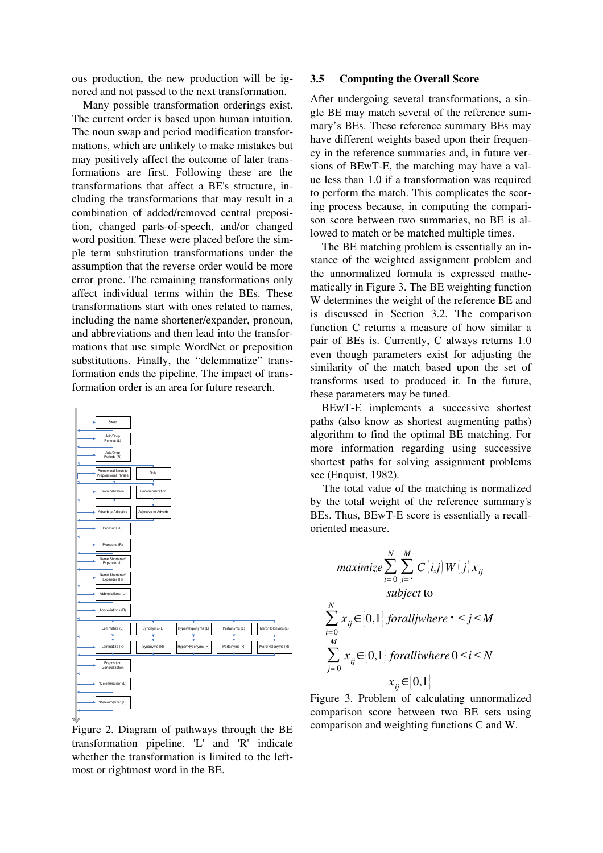ous production, the new production will be ignored and not passed to the next transformation.

Many possible transformation orderings exist. The current order is based upon human intuition. The noun swap and period modification transformations, which are unlikely to make mistakes but may positively affect the outcome of later transformations are first. Following these are the transformations that affect a BE's structure, including the transformations that may result in a combination of added/removed central preposition, changed parts-of-speech, and/or changed word position. These were placed before the simple term substitution transformations under the assumption that the reverse order would be more error prone. The remaining transformations only affect individual terms within the BEs. These transformations start with ones related to names, including the name shortener/expander, pronoun, and abbreviations and then lead into the transformations that use simple WordNet or preposition substitutions. Finally, the "delemmatize" transformation ends the pipeline. The impact of transformation order is an area for future research.



Figure 2. Diagram of pathways through the BE  $transformation$   $pipeline$ .  $'L'$  and  $'R'$  indicate whether the transformation is limited to the leftmost or rightmost word in the BE.

#### 3.5 Computing the Overall Score

After undergoing several transformations, a single BE may match several of the reference summary's BEs. These reference summary BEs may have different weights based upon their frequency in the reference summaries and, in future versions of BEwT-E, the matching may have a value less than 1.0 if a transformation was required to perform the match. This complicates the scoring process because, in computing the comparison score between two summaries, no BE is allowed to match or be matched multiple times.

The BE matching problem is essentially an instance of the weighted assignment problem and the unnormalized formula is expressed mathematically in Figure 3. The BE weighting function W determines the weight of the reference BE and is discussed in Section 3.2. The comparison function C returns a measure of how similar a pair of BEs is. Currently, C always returns 1.0 even though parameters exist for adjusting the similarity of the match based upon the set of transforms used to produced it. In the future, these parameters may be tuned.

BEwT-E implements a successive shortest paths (also know as shortest augmenting paths) algorithm to find the optimal BE matching. For more information regarding using successive shortest paths for solving assignment problems see (Enquist, 1982).

The total value of the matching is normalized by the total weight of the reference summary's BEs. Thus, BEwT-E score is essentially a recalloriented measure.

$$
\begin{aligned}\n\textit{maximize} & \sum_{i=0}^{N} \sum_{j=i}^{M} C(i,j) W(j) x_{ij} \\
\textit{subject to} \\
& \sum_{i=0}^{N} x_{ij} \in [0,1] \textit{foralljwhere } i \leq j \leq M \\
& \sum_{j=0}^{M} x_{ij} \in [0,1] \textit{foralliwhere } 0 \leq i \leq N \\
& x_{ij} \in [0,1]\n\end{aligned}
$$

Figure 3. Problem of calculating unnormalized comparison score between two BE sets using comparison and weighting functions C and W.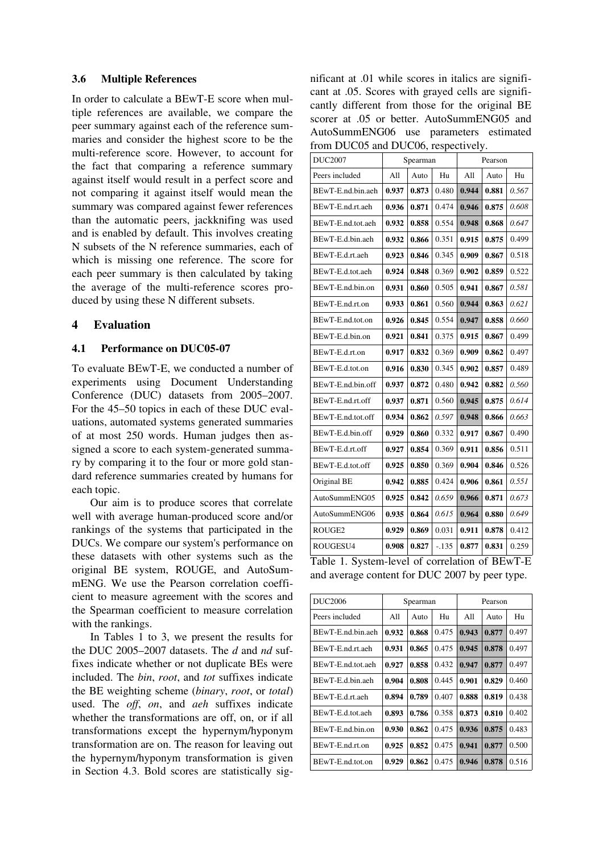#### 3.6 Multiple References

In order to calculate a BEwT-E score when multiple references are available, we compare the peer summary against each of the reference summaries and consider the highest score to be the multi-reference score. However, to account for the fact that comparing a reference summary against itself would result in a perfect score and not comparing it against itself would mean the summary was compared against fewer references than the automatic peers, jackknifing was used and is enabled by default. This involves creating N subsets of the N reference summaries, each of which is missing one reference. The score for each peer summary is then calculated by taking the average of the multi-reference scores produced by using these N different subsets.

### 4 Evaluation

#### 4.1 Performance on DUC05-07

To evaluate BEwT-E, we conducted a number of experiments using Document Understanding Conference (DUC) datasets from 2005–2007. For the 45–50 topics in each of these DUC evaluations, automated systems generated summaries of at most 250 words. Human judges then assigned a score to each system-generated summary by comparing it to the four or more gold standard reference summaries created by humans for each topic.

Our aim is to produce scores that correlate well with average human-produced score and/or rankings of the systems that participated in the DUCs. We compare our system's performance on these datasets with other systems such as the original BE system, ROUGE, and AutoSummENG. We use the Pearson correlation coefficient to measure agreement with the scores and the Spearman coefficient to measure correlation with the rankings.

In Tables 1 to 3, we present the results for the DUC 2005–2007 datasets. The *d* and *nd* suffixes indicate whether or not duplicate BEs were included. The *bin*, *root*, and *tot* suffixes indicate the BE weighting scheme (*binary*, *root*, or *total*) used. The *off*, *on*, and *aeh* suffixes indicate whether the transformations are off, on, or if all transformations except the hypernym/hyponym transformation are on. The reason for leaving out the hypernym/hyponym transformation is given in Section 4.3. Bold scores are statistically significant at .01 while scores in italics are significant at .05. Scores with grayed cells are significantly different from those for the original BE scorer at .05 or better. AutoSummENG05 and AutoSummENG06 use parameters estimated from DUC05 and DUC06, respectively.

| <b>DUC2007</b>     | Spearman |       |         | Pearson |       |       |
|--------------------|----------|-------|---------|---------|-------|-------|
| Peers included     | All      | Auto  | Hu      | All     | Auto  | Hu    |
| BEwT-E.nd.bin.aeh  | 0.937    | 0.873 | 0.480   | 0.944   | 0.881 | 0.567 |
| BEwT-E.nd.rt.aeh   | 0.936    | 0.871 | 0.474   | 0.946   | 0.875 | 0.608 |
| BEwT-E.nd.tot.aeh  | 0.932    | 0.858 | 0.554   | 0.948   | 0.868 | 0.647 |
| BEwT-E.d.bin.aeh   | 0.932    | 0.866 | 0.351   | 0.915   | 0.875 | 0.499 |
| BEwT-E.d.rt.aeh    | 0.923    | 0.846 | 0.345   | 0.909   | 0.867 | 0.518 |
| BEwT-E.d.tot.aeh   | 0.924    | 0.848 | 0.369   | 0.902   | 0.859 | 0.522 |
| BEwT-E.nd.bin.on   | 0.931    | 0.860 | 0.505   | 0.941   | 0.867 | 0.581 |
| BEwT-E.nd.rt.on    | 0.933    | 0.861 | 0.560   | 0.944   | 0.863 | 0.621 |
| BEwT-E.nd.tot.on   | 0.926    | 0.845 | 0.554   | 0.947   | 0.858 | 0.660 |
| BEwT-E.d.bin.on    | 0.921    | 0.841 | 0.375   | 0.915   | 0.867 | 0.499 |
| BEwT-E.d.rt.on     | 0.917    | 0.832 | 0.369   | 0.909   | 0.862 | 0.497 |
| BEwT-E.d.tot.on    | 0.916    | 0.830 | 0.345   | 0.902   | 0.857 | 0.489 |
| BEwT-E.nd.bin.off  | 0.937    | 0.872 | 0.480   | 0.942   | 0.882 | 0.560 |
| BEwT-E.nd.rt.off   | 0.937    | 0.871 | 0.560   | 0.945   | 0.875 | 0.614 |
| BEwT-E.nd.tot.off  | 0.934    | 0.862 | 0.597   | 0.948   | 0.866 | 0.663 |
| BEwT-E.d.bin.off   | 0.929    | 0.860 | 0.332   | 0.917   | 0.867 | 0.490 |
| BEwT-E.d.rt.off    | 0.927    | 0.854 | 0.369   | 0.911   | 0.856 | 0.511 |
| BEwT-E.d.tot.off   | 0.925    | 0.850 | 0.369   | 0.904   | 0.846 | 0.526 |
| Original BE        | 0.942    | 0.885 | 0.424   | 0.906   | 0.861 | 0.551 |
| AutoSummENG05      | 0.925    | 0.842 | 0.659   | 0.966   | 0.871 | 0.673 |
| AutoSummENG06      | 0.935    | 0.864 | 0.615   | 0.964   | 0.880 | 0.649 |
| ROUGE <sub>2</sub> | 0.929    | 0.869 | 0.031   | 0.911   | 0.878 | 0.412 |
| ROUGESU4           | 0.908    | 0.827 | $-.135$ | 0.877   | 0.831 | 0.259 |

Table 1. System-level of correlation of BEwT-E and average content for DUC 2007 by peer type.

| <b>DUC2006</b>    | Spearman |       |       | Pearson |       |       |
|-------------------|----------|-------|-------|---------|-------|-------|
| Peers included    | All      | Auto  | Hu    | A11     | Auto  | Hu    |
| BEwT-E.nd.bin.aeh | 0.932    | 0.868 | 0.475 | 0.943   | 0.877 | 0.497 |
| BEwT-E.nd.rt.aeh  | 0.931    | 0.865 | 0.475 | 0.945   | 0.878 | 0.497 |
| BEwT-E.nd.tot.aeh | 0.927    | 0.858 | 0.432 | 0.947   | 0.877 | 0.497 |
| BEwT-E.d.bin.aeh  | 0.904    | 0.808 | 0.445 | 0.901   | 0.829 | 0.460 |
| BEwT-E.d.rt.aeh   | 0.894    | 0.789 | 0.407 | 0.888   | 0.819 | 0.438 |
| BEwT-E.d.tot.aeh  | 0.893    | 0.786 | 0.358 | 0.873   | 0.810 | 0.402 |
| BEwT-E.nd.bin.on  | 0.930    | 0.862 | 0.475 | 0.936   | 0.875 | 0.483 |
| BEwT-E.nd.rt.on   | 0.925    | 0.852 | 0.475 | 0.941   | 0.877 | 0.500 |
| BEwT-E.nd.tot.on  | 0.929    | 0.862 | 0.475 | 0.946   | 0.878 | 0.516 |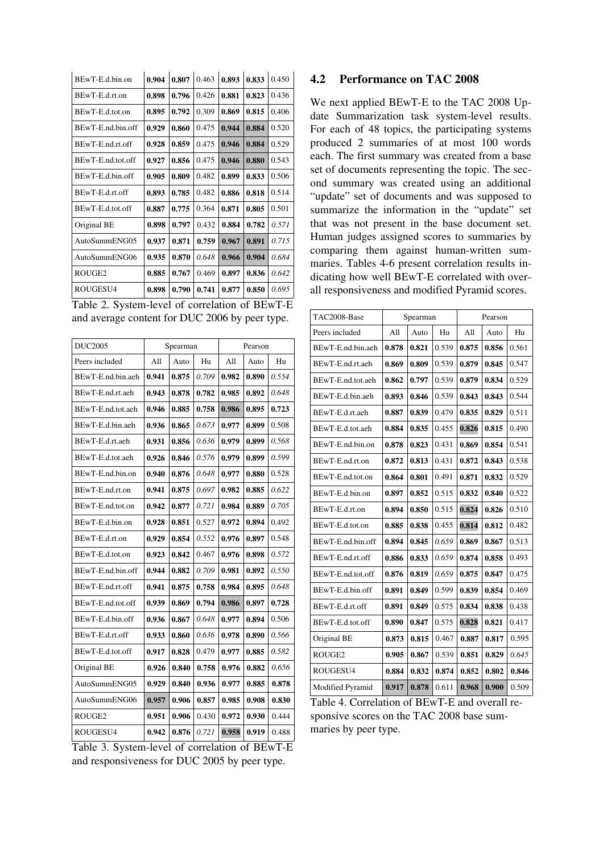| BEwT-E.d.bin.on    | 0.904 | 0.807 | 0.463 | 0.893 | 0.833 | 0.450 |
|--------------------|-------|-------|-------|-------|-------|-------|
| BEwT-E.d.rt.on     | 0.898 | 0.796 | 0.426 | 0.881 | 0.823 | 0.436 |
| BEwT-E.d.tot.on    | 0.895 | 0.792 | 0.309 | 0.869 | 0.815 | 0.406 |
| BEwT-E.nd.bin.off  | 0.929 | 0.860 | 0.475 | 0.944 | 0.884 | 0.520 |
| BEwT-E.nd.rt.off   | 0.928 | 0.859 | 0.475 | 0.946 | 0.884 | 0.529 |
| BEwT-E.nd.tot.off  | 0.927 | 0.856 | 0.475 | 0.946 | 0.880 | 0.543 |
| BEwT-E.d.bin.off   | 0.905 | 0.809 | 0.482 | 0.899 | 0.833 | 0.506 |
| BEwT-E.d.rt.off    | 0.893 | 0.785 | 0.482 | 0.886 | 0.818 | 0.514 |
| BEwT-E.d.tot.off   | 0.887 | 0.775 | 0.364 | 0.871 | 0.805 | 0.501 |
| Original BE        | 0.898 | 0.797 | 0.432 | 0.884 | 0.782 | 0.571 |
| AutoSummENG05      | 0.937 | 0.871 | 0.759 | 0.967 | 0.891 | 0.715 |
| AutoSummENG06      | 0.935 | 0.870 | 0.648 | 0.966 | 0.904 | 0.684 |
| ROUGE <sub>2</sub> | 0.885 | 0.767 | 0.469 | 0.897 | 0.836 | 0.642 |
| ROUGESU4           | 0.898 | 0.790 | 0.741 | 0.877 | 0.850 | 0.695 |

Table 2. System-level of correlation of BEwT-E and average content for DUC 2006 by peer type.

| <b>DUC2005</b>    | Spearman |       |       | Pearson |       |       |
|-------------------|----------|-------|-------|---------|-------|-------|
| Peers included    | All      | Auto  | Hu    | All     | Auto  | Hu    |
| BEwT-E.nd.bin.aeh | 0.941    | 0.875 | 0.709 | 0.982   | 0.890 | 0.554 |
| BEwT-E.nd.rt.aeh  | 0.943    | 0.878 | 0.782 | 0.985   | 0.892 | 0.648 |
| BEwT-E.nd.tot.aeh | 0.946    | 0.885 | 0.758 | 0.986   | 0.895 | 0.723 |
| BEwT-E.d.bin.aeh  | 0.936    | 0.865 | 0.673 | 0.977   | 0.899 | 0.508 |
| BEwT-E.d.rt.aeh   | 0.931    | 0.856 | 0.636 | 0.979   | 0.899 | 0.568 |
| BEwT-E.d.tot.aeh  | 0.926    | 0.846 | 0.576 | 0.979   | 0.899 | 0.599 |
| BEwT-E.nd.bin.on  | 0.940    | 0.876 | 0.648 | 0.977   | 0.880 | 0.528 |
| BEwT-E.nd.rt.on   | 0.941    | 0.875 | 0.697 | 0.982   | 0.885 | 0.622 |
| BEwT-E.nd.tot.on  | 0.942    | 0.877 | 0.721 | 0.984   | 0.889 | 0.705 |
| BEwT-E.d.bin.on   | 0.928    | 0.851 | 0.527 | 0.972   | 0.894 | 0.492 |
| BEwT-E.d.rt.on    | 0.929    | 0.854 | 0.552 | 0.976   | 0.897 | 0.548 |
| BEwT-E.d.tot.on   | 0.923    | 0.842 | 0.467 | 0.976   | 0.898 | 0.572 |
| BEwT-E.nd.bin.off | 0.944    | 0.882 | 0.709 | 0.981   | 0.892 | 0.550 |
| BEwT-E.nd.rt.off  | 0.941    | 0.875 | 0.758 | 0.984   | 0.895 | 0.648 |
| BEwT-E.nd.tot.off | 0.939    | 0.869 | 0.794 | 0.986   | 0.897 | 0.728 |
| BEwT-E.d.bin.off  | 0.936    | 0.867 | 0.648 | 0.977   | 0.894 | 0.506 |
| BEwT-E.d.rt.off   | 0.933    | 0.860 | 0.636 | 0.978   | 0.890 | 0.566 |
| BEwT-E.d.tot.off  | 0.917    | 0.828 | 0.479 | 0.977   | 0.885 | 0.582 |
| Original BE       | 0.926    | 0.840 | 0.758 | 0.976   | 0.882 | 0.656 |
| AutoSummENG05     | 0.929    | 0.840 | 0.936 | 0.977   | 0.885 | 0.878 |
| AutoSummENG06     | 0.957    | 0.906 | 0.857 | 0.985   | 0.908 | 0.830 |
| ROUGE2            | 0.951    | 0.906 | 0.430 | 0.972   | 0.930 | 0.444 |
| ROUGESU4          | 0.942    | 0.876 | 0.721 | 0.958   | 0.919 | 0.488 |

Table 3. System-level of correlation of BEwT-E and responsiveness for DUC 2005 by peer type.

### 4.2 Performance on TAC 2008

We next applied BEwT-E to the TAC 2008 Update Summarization task system-level results. For each of 48 topics, the participating systems produced 2 summaries of at most 100 words each. The first summary was created from a base set of documents representing the topic. The second summary was created using an additional "update" set of documents and was supposed to summarize the information in the "update" set that was not present in the base document set. Human judges assigned scores to summaries by comparing them against human-written summaries. Tables 4-6 present correlation results indicating how well BEwT-E correlated with overall responsiveness and modified Pyramid scores.

| TAC2008-Base      | Spearman |       |       | Pearson |       |       |
|-------------------|----------|-------|-------|---------|-------|-------|
| Peers included    | All      | Auto  | Hu    | All     | Auto  | Hu    |
| BEwT-E.nd.bin.aeh | 0.878    | 0.821 | 0.539 | 0.875   | 0.856 | 0.561 |
| BEwT-E.nd.rt.aeh  | 0.869    | 0.809 | 0.539 | 0.879   | 0.845 | 0.547 |
| BEwT-E.nd.tot.aeh | 0.862    | 0.797 | 0.539 | 0.879   | 0.834 | 0.529 |
| BEwT-E.d.bin.aeh  | 0.893    | 0.846 | 0.539 | 0.843   | 0.843 | 0.544 |
| BEwT-E.d.rt.aeh   | 0.887    | 0.839 | 0.479 | 0.835   | 0.829 | 0.511 |
| BEwT-E.d.tot.aeh  | 0.884    | 0.835 | 0.455 | 0.826   | 0.815 | 0.490 |
| BEwT-E.nd.bin.on  | 0.878    | 0.823 | 0.431 | 0.869   | 0.854 | 0.541 |
| BEwT-E.nd.rt.on   | 0.872    | 0.813 | 0.431 | 0.872   | 0.843 | 0.538 |
| BEwT-E.nd.tot.on  | 0.864    | 0.801 | 0.491 | 0.871   | 0.832 | 0.529 |
| BEwT-E.d.bin.on   | 0.897    | 0.852 | 0.515 | 0.832   | 0.840 | 0.522 |
| BEwT-E.d.rt.on    | 0.894    | 0.850 | 0.515 | 0.824   | 0.826 | 0.510 |
| BEwT-E.d.tot.on   | 0.885    | 0.838 | 0.455 | 0.814   | 0.812 | 0.482 |
| BEwT-E.nd.bin.off | 0.894    | 0.845 | 0.659 | 0.869   | 0.867 | 0.513 |
| BEwT-E.nd.rt.off  | 0.886    | 0.833 | 0.659 | 0.874   | 0.858 | 0.493 |
| BEwT-E.nd.tot.off | 0.876    | 0.819 | 0.659 | 0.875   | 0.847 | 0.475 |
| BEwT-E.d.bin.off  | 0.891    | 0.849 | 0.599 | 0.839   | 0.854 | 0.469 |
| BEwT-E.d.rt.off   | 0.891    | 0.849 | 0.575 | 0.834   | 0.838 | 0.438 |
| BEwT-E.d.tot.off  | 0.890    | 0.847 | 0.575 | 0.828   | 0.821 | 0.417 |
| Original BE       | 0.873    | 0.815 | 0.467 | 0.887   | 0.817 | 0.595 |
| ROUGE2            | 0.905    | 0.867 | 0.539 | 0.851   | 0.829 | 0.645 |
| ROUGESU4          | 0.884    | 0.832 | 0.874 | 0.852   | 0.802 | 0.846 |
| Modified Pyramid  | 0.917    | 0.878 | 0.611 | 0.968   | 0.900 | 0.509 |

Table 4. Correlation of BEwT-E and overall responsive scores on the TAC 2008 base summaries by peer type.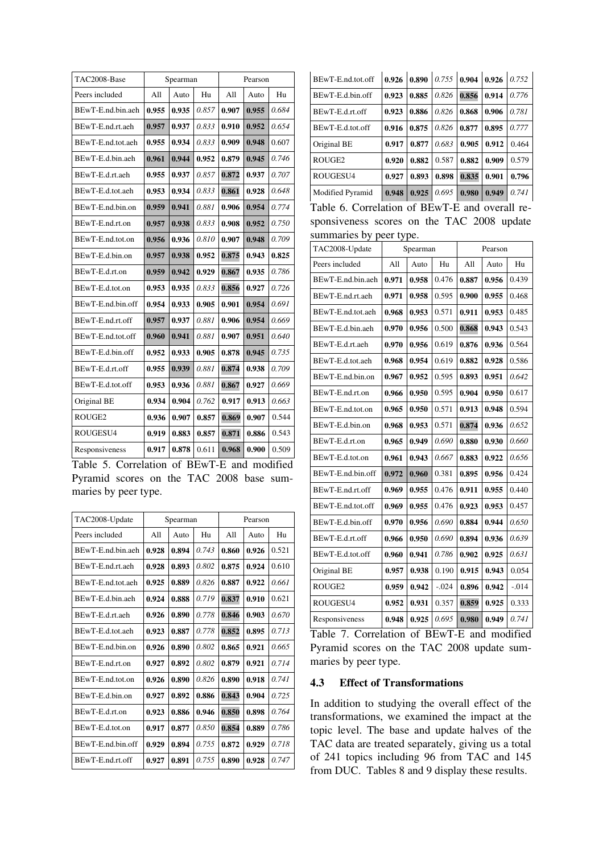| TAC2008-Base      | Spearman |       |       | Pearson |       |       |
|-------------------|----------|-------|-------|---------|-------|-------|
| Peers included    | All      | Auto  | Hu    | All     | Auto  | Hu    |
| BEwT-E.nd.bin.aeh | 0.955    | 0.935 | 0.857 | 0.907   | 0.955 | 0.684 |
| BEwT-E.nd.rt.aeh  | 0.957    | 0.937 | 0.833 | 0.910   | 0.952 | 0.654 |
| BEwT-E.nd.tot.aeh | 0.955    | 0.934 | 0.833 | 0.909   | 0.948 | 0.607 |
| BEwT-E.d.bin.aeh  | 0.961    | 0.944 | 0.952 | 0.879   | 0.945 | 0.746 |
| BEwT-E.d.rt.aeh   | 0.955    | 0.937 | 0.857 | 0.872   | 0.937 | 0.707 |
| BEwT-E.d.tot.aeh  | 0.953    | 0.934 | 0.833 | 0.861   | 0.928 | 0.648 |
| BEwT-E.nd.bin.on  | 0.959    | 0.941 | 0.881 | 0.906   | 0.954 | 0.774 |
| BEwT-E.nd.rt.on   | 0.957    | 0.938 | 0.833 | 0.908   | 0.952 | 0.750 |
| BEwT-E.nd.tot.on  | 0.956    | 0.936 | 0.810 | 0.907   | 0.948 | 0.709 |
| BEwT-E.d.bin.on   | 0.957    | 0.938 | 0.952 | 0.875   | 0.943 | 0.825 |
| BEwT-E.d.rt.on    | 0.959    | 0.942 | 0.929 | 0.867   | 0.935 | 0.786 |
| BEwT-E.d.tot.on   | 0.953    | 0.935 | 0.833 | 0.856   | 0.927 | 0.726 |
| BEwT-E.nd.bin.off | 0.954    | 0.933 | 0.905 | 0.901   | 0.954 | 0.691 |
| BEwT-E.nd.rt.off  | 0.957    | 0.937 | 0.881 | 0.906   | 0.954 | 0.669 |
| BEwT-E.nd.tot.off | 0.960    | 0.941 | 0.881 | 0.907   | 0.951 | 0.640 |
| BEwT-E.d.bin.off  | 0.952    | 0.933 | 0.905 | 0.878   | 0.945 | 0.735 |
| BEwT-E.d.rt.off   | 0.955    | 0.939 | 0.881 | 0.874   | 0.938 | 0.709 |
| BEwT-E.d.tot.off  | 0.953    | 0.936 | 0.881 | 0.867   | 0.927 | 0.669 |
| Original BE       | 0.934    | 0.904 | 0.762 | 0.917   | 0.913 | 0.663 |
| ROUGE2            | 0.936    | 0.907 | 0.857 | 0.869   | 0.907 | 0.544 |
| ROUGESU4          | 0.919    | 0.883 | 0.857 | 0.871   | 0.886 | 0.543 |
| Responsiveness    | 0.917    | 0.878 | 0.611 | 0.968   | 0.900 | 0.509 |

Table 5. Correlation of BEwT-E and modified Pyramid scores on the TAC 2008 base summaries by peer type.

| TAC2008-Update    |       | Spearman |       |       | Pearson |       |  |
|-------------------|-------|----------|-------|-------|---------|-------|--|
| Peers included    | A11   | Auto     | Hu    | A11   | Auto    | Hu    |  |
| BEwT-E.nd.bin.aeh | 0.928 | 0.894    | 0.743 | 0.860 | 0.926   | 0.521 |  |
| BEwT-E.nd.rt.aeh  | 0.928 | 0.893    | 0.802 | 0.875 | 0.924   | 0.610 |  |
| BEwT-E.nd.tot.aeh | 0.925 | 0.889    | 0.826 | 0.887 | 0.922   | 0.661 |  |
| BEwT-E.d.bin.aeh  | 0.924 | 0.888    | 0.719 | 0.837 | 0.910   | 0.621 |  |
| BEwT-E d rt aeh   | 0.926 | 0.890    | 0.778 | 0.846 | 0.903   | 0.670 |  |
| BEwT-E.d.tot.aeh  | 0.923 | 0.887    | 0.778 | 0.852 | 0.895   | 0.713 |  |
| BEwT-E.nd.bin.on  | 0.926 | 0.890    | 0.802 | 0.865 | 0.921   | 0.665 |  |
| BEwT-E.nd.rt.on   | 0.927 | 0.892    | 0.802 | 0.879 | 0.921   | 0.714 |  |
| BEwT-E.nd.tot.on  | 0.926 | 0.890    | 0.826 | 0.890 | 0.918   | 0.741 |  |
| BEwT-E.d.bin.on   | 0.927 | 0.892    | 0.886 | 0.843 | 0.904   | 0.725 |  |
| BEwT-E.d.rt.on    | 0.923 | 0.886    | 0.946 | 0.850 | 0.898   | 0.764 |  |
| BEwT-E.d.tot.on   | 0.917 | 0.877    | 0.850 | 0.854 | 0.889   | 0.786 |  |
| BEwT-E.nd.bin.off | 0.929 | 0.894    | 0.755 | 0.872 | 0.929   | 0.718 |  |
| BEwT-E.nd.rt.off  | 0.927 | 0.891    | 0.755 | 0.890 | 0.928   | 0.747 |  |

| BEwT-E.nd.tot.off  | 0.926 | 0.890 |       | $0.755 \mid 0.904$ | 0.926 | 0.752 |
|--------------------|-------|-------|-------|--------------------|-------|-------|
| BEwT-E.d.bin.off   | 0.923 | 0.885 | 0.826 | 0.856              | 0.914 | 0.776 |
| BEwT-E.d.rt.off    | 0.923 | 0.886 | 0.826 | 0.868              | 0.906 | 0.781 |
| BEwT-E.d.tot.off   | 0.916 | 0.875 | 0.826 | 0.877              | 0.895 | 0.777 |
| Original BE        | 0.917 | 0.877 | 0.683 | 0.905              | 0.912 | 0.464 |
| ROUGE <sub>2</sub> | 0.920 | 0.882 | 0.587 | 0.882              | 0.909 | 0.579 |
| ROUGESU4           | 0.927 | 0.893 | 0.898 | 0.835              | 0.901 | 0.796 |
| Modified Pyramid   | 0.948 | 0.925 | 0.695 | 0.980              | 0.949 | 0.741 |

Table 6. Correlation of BEwT-E and overall responsiveness scores on the TAC 2008 update summaries by peer type.

| x<br>TAC2008-Update |       | Spearman |          | Pearson |       |         |
|---------------------|-------|----------|----------|---------|-------|---------|
| Peers included      | All   | Auto     | Hu       | All     | Auto  | Hu      |
| BEwT-E.nd.bin.aeh   | 0.971 | 0.958    | 0.476    | 0.887   | 0.956 | 0.439   |
| BEwT-E.nd.rt.aeh    | 0.971 | 0.958    | 0.595    | 0.900   | 0.955 | 0.468   |
| BEwT-E.nd.tot.aeh   | 0.968 | 0.953    | 0.571    | 0.911   | 0.953 | 0.485   |
| BEwT-E.d.bin.aeh    | 0.970 | 0.956    | 0.500    | 0.868   | 0.943 | 0.543   |
| BEwT-E.d.rt.aeh     | 0.970 | 0.956    | 0.619    | 0.876   | 0.936 | 0.564   |
| BEwT-E.d.tot.aeh    | 0.968 | 0.954    | 0.619    | 0.882   | 0.928 | 0.586   |
| BEwT-E.nd.bin.on    | 0.967 | 0.952    | 0.595    | 0.893   | 0.951 | 0.642   |
| BEwT-E.nd.rt.on     | 0.966 | 0.950    | 0.595    | 0.904   | 0.950 | 0.617   |
| BEwT-E.nd.tot.on    | 0.965 | 0.950    | 0.571    | 0.913   | 0.948 | 0.594   |
| BEwT-E.d.bin.on     | 0.968 | 0.953    | 0.571    | 0.874   | 0.936 | 0.652   |
| BEwT-E.d.rt.on      | 0.965 | 0.949    | 0.690    | 0.880   | 0.930 | 0.660   |
| BEwT-E.d.tot.on     | 0.961 | 0.943    | 0.667    | 0.883   | 0.922 | 0.656   |
| BEwT-E.nd.bin.off   | 0.972 | 0.960    | 0.381    | 0.895   | 0.956 | 0.424   |
| BEwT-E.nd.rt.off    | 0.969 | 0.955    | 0.476    | 0.911   | 0.955 | 0.440   |
| BEwT-E.nd.tot.off   | 0.969 | 0.955    | 0.476    | 0.923   | 0.953 | 0.457   |
| BEwT-E.d.bin.off    | 0.970 | 0.956    | 0.690    | 0.884   | 0.944 | 0.650   |
| BEwT-E.d.rt.off     | 0.966 | 0.950    | 0.690    | 0.894   | 0.936 | 0.639   |
| BEwT-E.d.tot.off    | 0.960 | 0.941    | 0.786    | 0.902   | 0.925 | 0.631   |
| Original BE         | 0.957 | 0.938    | 0.190    | 0.915   | 0.943 | 0.054   |
| ROUGE2              | 0.959 | 0.942    | $-0.024$ | 0.896   | 0.942 | $-.014$ |
| ROUGESU4            | 0.952 | 0.931    | 0.357    | 0.859   | 0.925 | 0.333   |
| Responsiveness      | 0.948 | 0.925    | 0.695    | 0.980   | 0.949 | 0.741   |

Table 7. Correlation of BEwT-E and modified Pyramid scores on the TAC 2008 update summaries by peer type.

## 4.3 Effect of Transformations

In addition to studying the overall effect of the transformations, we examined the impact at the topic level. The base and update halves of the TAC data are treated separately, giving us a total of 241 topics including 96 from TAC and 145 from DUC. Tables 8 and 9 display these results.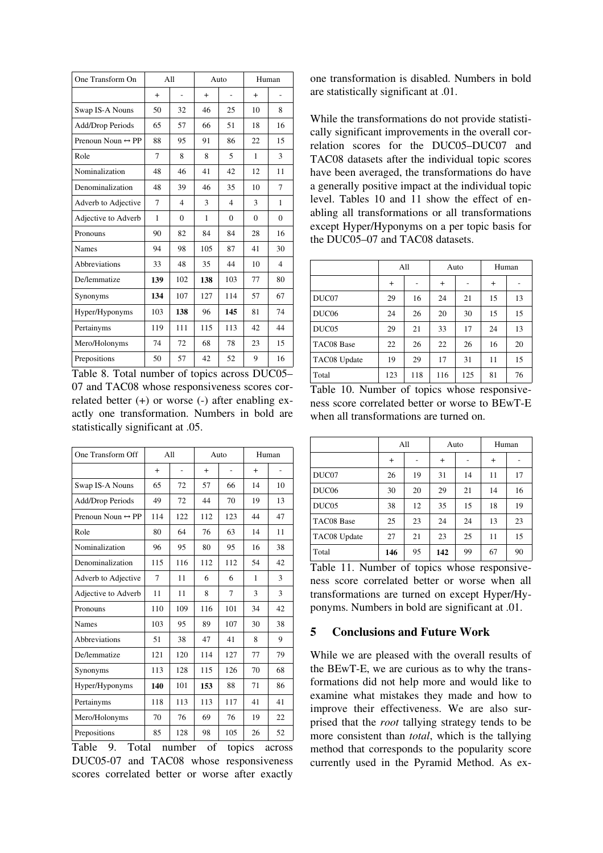| One Transform On                  |              | A11                      | Auto |                         | Human    |          |
|-----------------------------------|--------------|--------------------------|------|-------------------------|----------|----------|
|                                   | $+$          |                          | $+$  |                         | $+$      |          |
| Swap IS-A Nouns                   | 50           | 32                       | 46   | 25                      | 10       | 8        |
| Add/Drop Periods                  | 65           | 57                       | 66   | 51                      | 18       | 16       |
| Prenoun Noun $\leftrightarrow$ PP | 88           | 95                       | 91   | 86                      | 22       | 15       |
| Role                              | 7            | 8                        | 8    | 5                       | 1        | 3        |
| Nominalization                    | 48           | 46                       | 41   | 42                      | 12       | 11       |
| Denominalization                  | 48           | 39                       | 46   | 35                      | 10       | 7        |
| Adverb to Adjective               | 7            | $\overline{\mathcal{L}}$ | 3    | $\overline{\mathbf{4}}$ | 3        | 1        |
| Adjective to Adverb               | $\mathbf{1}$ | $\Omega$                 | 1    | $\Omega$                | $\Omega$ | $\Omega$ |
| Pronouns                          | 90           | 82                       | 84   | 84                      | 28       | 16       |
| <b>Names</b>                      | 94           | 98                       | 105  | 87                      | 41       | 30       |
| Abbreviations                     | 33           | 48                       | 35   | 44                      | 10       | 4        |
| De/lemmatize                      | 139          | 102                      | 138  | 103                     | 77       | 80       |
| Synonyms                          | 134          | 107                      | 127  | 114                     | 57       | 67       |
| Hyper/Hyponyms                    | 103          | 138                      | 96   | 145                     | 81       | 74       |
| Pertainyms                        | 119          | 111                      | 115  | 113                     | 42       | 44       |
| Mero/Holonyms                     | 74           | 72                       | 68   | 78                      | 23       | 15       |
| Prepositions                      | 50           | 57                       | 42   | 52                      | 9        | 16       |

Table 8. Total number of topics across DUC05– 07 and TAC08 whose responsiveness scores correlated better  $(+)$  or worse  $(-)$  after enabling exactly one transformation. Numbers in bold are statistically significant at .05.

| One Transform Off                 |     | A11 |     | Auto |     | Human |  |
|-----------------------------------|-----|-----|-----|------|-----|-------|--|
|                                   | $+$ |     | $+$ |      | $+$ |       |  |
| Swap IS-A Nouns                   | 65  | 72  | 57  | 66   | 14  | 10    |  |
| Add/Drop Periods                  | 49  | 72  | 44  | 70   | 19  | 13    |  |
| Prenoun Noun $\leftrightarrow$ PP | 114 | 122 | 112 | 123  | 44  | 47    |  |
| Role                              | 80  | 64  | 76  | 63   | 14  | 11    |  |
| Nominalization                    | 96  | 95  | 80  | 95   | 16  | 38    |  |
| Denominalization                  | 115 | 116 | 112 | 112  | 54  | 42    |  |
| Adverb to Adjective               | 7   | 11  | 6   | 6    | 1   | 3     |  |
| Adjective to Adverb               | 11  | 11  | 8   | 7    | 3   | 3     |  |
| Pronouns                          | 110 | 109 | 116 | 101  | 34  | 42    |  |
| <b>Names</b>                      | 103 | 95  | 89  | 107  | 30  | 38    |  |
| Abbreviations                     | 51  | 38  | 47  | 41   | 8   | 9     |  |
| De/lemmatize                      | 121 | 120 | 114 | 127  | 77  | 79    |  |
| Synonyms                          | 113 | 128 | 115 | 126  | 70  | 68    |  |
| Hyper/Hyponyms                    | 140 | 101 | 153 | 88   | 71  | 86    |  |
| Pertainyms                        | 118 | 113 | 113 | 117  | 41  | 41    |  |
| Mero/Holonyms                     | 70  | 76  | 69  | 76   | 19  | 22    |  |
| Prepositions                      | 85  | 128 | 98  | 105  | 26  | 52    |  |

Table 9. Total number of topics across DUC05-07 and TAC08 whose responsiveness scores correlated better or worse after exactly

one transformation is disabled. Numbers in bold are statistically significant at .01.

While the transformations do not provide statistically significant improvements in the overall correlation scores for the DUC05-DUC07 and TAC08 datasets after the individual topic scores have been averaged, the transformations do have a generally positive impact at the individual topic level. Tables 10 and 11 show the effect of enabling all transformations or all transformations except Hyper/Hyponyms on a per topic basis for the DUC05–07 and TAC08 datasets.

|                   | All |     | Auto |     | Human  |    |
|-------------------|-----|-----|------|-----|--------|----|
|                   | $+$ |     | $+$  |     | $^{+}$ |    |
| DUC07             | 29  | 16  | 24   | 21  | 15     | 13 |
| DUC <sub>06</sub> | 24  | 26  | 20   | 30  | 15     | 15 |
| DUC <sub>05</sub> | 29  | 21  | 33   | 17  | 24     | 13 |
| TAC08 Base        | 22  | 26  | 22   | 26  | 16     | 20 |
| TAC08 Update      | 19  | 29  | 17   | 31  | 11     | 15 |
| Total             | 123 | 118 | 116  | 125 | 81     | 76 |

Table 10. Number of topics whose responsiveness score correlated better or worse to BEwT-E when all transformations are turned on.

|                   | All |    | Auto |    | Human  |    |
|-------------------|-----|----|------|----|--------|----|
|                   | $+$ |    | $+$  |    | $^{+}$ |    |
| DUC07             | 26  | 19 | 31   | 14 | 11     | 17 |
| DUC <sub>06</sub> | 30  | 20 | 29   | 21 | 14     | 16 |
| DUC05             | 38  | 12 | 35   | 15 | 18     | 19 |
| TAC08 Base        | 25  | 23 | 24   | 24 | 13     | 23 |
| TAC08 Update      | 27  | 21 | 23   | 25 | 11     | 15 |
| Total             | 146 | 95 | 142  | 99 | 67     | 90 |

Table 11. Number of topics whose responsiveness score correlated better or worse when all transformations are turned on except Hyper/Hyponyms. Numbers in bold are significant at .01.

### 5 Conclusions and Future Work

While we are pleased with the overall results of the BEwT-E, we are curious as to why the transformations did not help more and would like to examine what mistakes they made and how to improve their effectiveness. We are also surprised that the *root* tallying strategy tends to be more consistent than *total*, which is the tallying method that corresponds to the popularity score currently used in the Pyramid Method. As ex